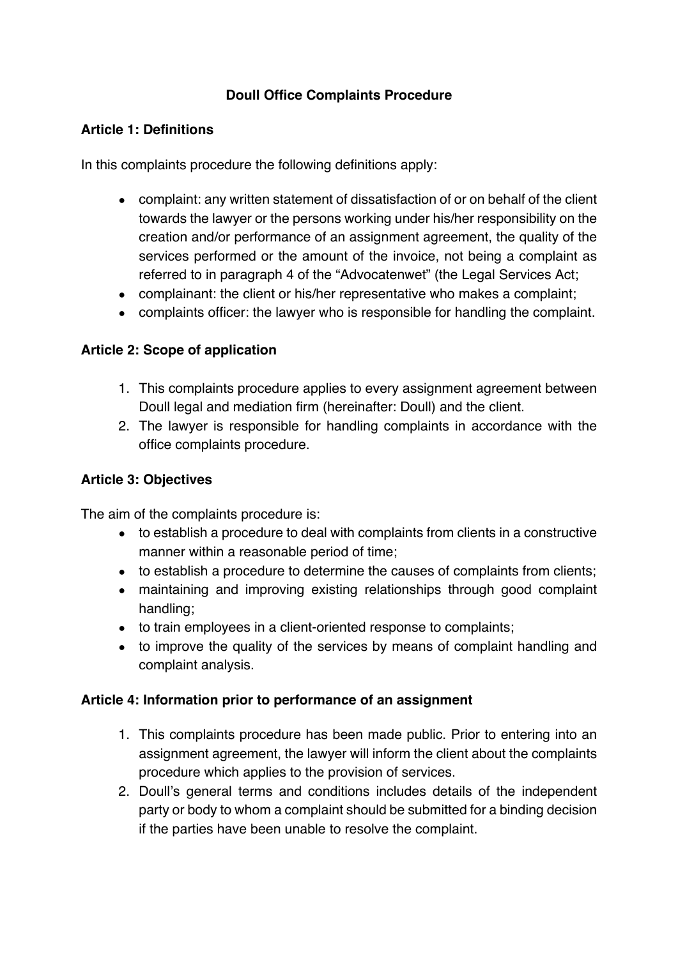# **Doull Office Complaints Procedure**

#### **Article 1: Definitions**

In this complaints procedure the following definitions apply:

- complaint: any written statement of dissatisfaction of or on behalf of the client towards the lawyer or the persons working under his/her responsibility on the creation and/or performance of an assignment agreement, the quality of the services performed or the amount of the invoice, not being a complaint as referred to in paragraph 4 of the "Advocatenwet" (the Legal Services Act;
- complainant: the client or his/her representative who makes a complaint;
- complaints officer: the lawyer who is responsible for handling the complaint.

### **Article 2: Scope of application**

- 1. This complaints procedure applies to every assignment agreement between Doull legal and mediation firm (hereinafter: Doull) and the client.
- 2. The lawyer is responsible for handling complaints in accordance with the office complaints procedure.

### **Article 3: Objectives**

The aim of the complaints procedure is:

- to establish a procedure to deal with complaints from clients in a constructive manner within a reasonable period of time;
- to establish a procedure to determine the causes of complaints from clients;
- maintaining and improving existing relationships through good complaint handling;
- to train employees in a client-oriented response to complaints;
- to improve the quality of the services by means of complaint handling and complaint analysis.

### **Article 4: Information prior to performance of an assignment**

- 1. This complaints procedure has been made public. Prior to entering into an assignment agreement, the lawyer will inform the client about the complaints procedure which applies to the provision of services.
- 2. Doull's general terms and conditions includes details of the independent party or body to whom a complaint should be submitted for a binding decision if the parties have been unable to resolve the complaint.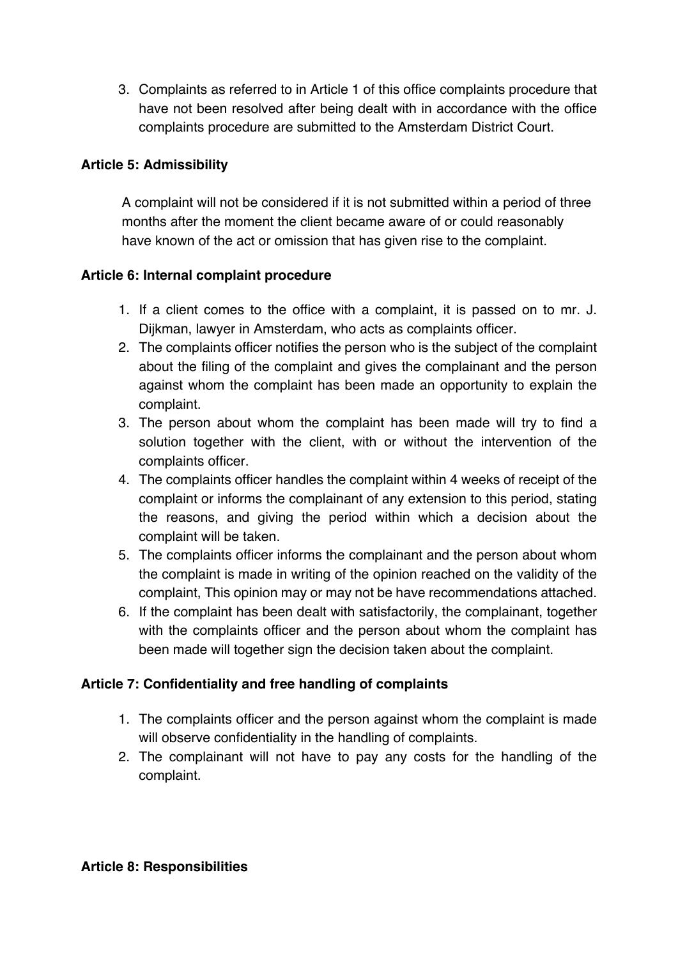3. Complaints as referred to in Article 1 of this office complaints procedure that have not been resolved after being dealt with in accordance with the office complaints procedure are submitted to the Amsterdam District Court.

# **Article 5: Admissibility**

A complaint will not be considered if it is not submitted within a period of three months after the moment the client became aware of or could reasonably have known of the act or omission that has given rise to the complaint.

### **Article 6: Internal complaint procedure**

- 1. If a client comes to the office with a complaint, it is passed on to mr. J. Dijkman, lawyer in Amsterdam, who acts as complaints officer.
- 2. The complaints officer notifies the person who is the subject of the complaint about the filing of the complaint and gives the complainant and the person against whom the complaint has been made an opportunity to explain the complaint.
- 3. The person about whom the complaint has been made will try to find a solution together with the client, with or without the intervention of the complaints officer.
- 4. The complaints officer handles the complaint within 4 weeks of receipt of the complaint or informs the complainant of any extension to this period, stating the reasons, and giving the period within which a decision about the complaint will be taken.
- 5. The complaints officer informs the complainant and the person about whom the complaint is made in writing of the opinion reached on the validity of the complaint, This opinion may or may not be have recommendations attached.
- 6. If the complaint has been dealt with satisfactorily, the complainant, together with the complaints officer and the person about whom the complaint has been made will together sign the decision taken about the complaint.

### **Article 7: Confidentiality and free handling of complaints**

- 1. The complaints officer and the person against whom the complaint is made will observe confidentiality in the handling of complaints.
- 2. The complainant will not have to pay any costs for the handling of the complaint.